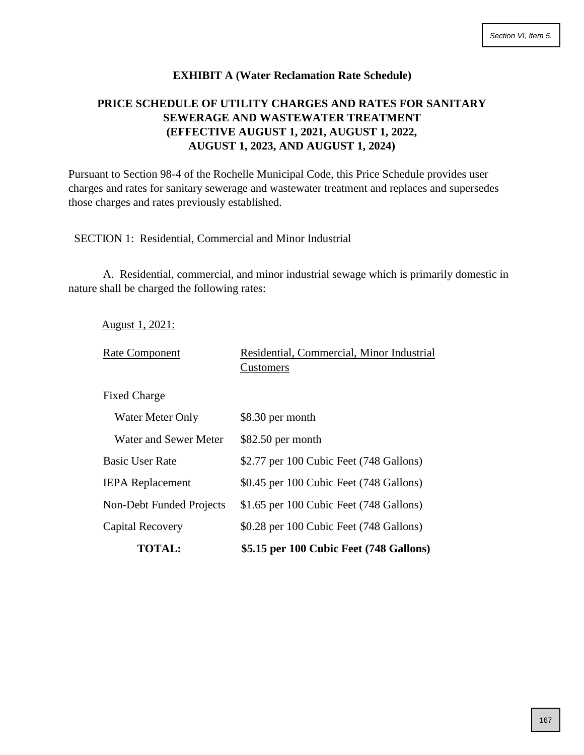## **EXHIBIT A (Water Reclamation Rate Schedule)**

# **PRICE SCHEDULE OF UTILITY CHARGES AND RATES FOR SANITARY SEWERAGE AND WASTEWATER TREATMENT (EFFECTIVE AUGUST 1, 2021, AUGUST 1, 2022, AUGUST 1, 2023, AND AUGUST 1, 2024)**

Pursuant to Section 98-4 of the Rochelle Municipal Code, this Price Schedule provides user charges and rates for sanitary sewerage and wastewater treatment and replaces and supersedes those charges and rates previously established.

SECTION 1: Residential, Commercial and Minor Industrial

A. Residential, commercial, and minor industrial sewage which is primarily domestic in nature shall be charged the following rates:

|  | August 1, 2021: |  |  |
|--|-----------------|--|--|
|--|-----------------|--|--|

| <b>Rate Component</b>    | Residential, Commercial, Minor Industrial<br>Customers |
|--------------------------|--------------------------------------------------------|
| <b>Fixed Charge</b>      |                                                        |
| Water Meter Only         | \$8.30 per month                                       |
| Water and Sewer Meter    | $$82.50$ per month                                     |
| <b>Basic User Rate</b>   | \$2.77 per 100 Cubic Feet (748 Gallons)                |
| <b>IEPA</b> Replacement  | \$0.45 per 100 Cubic Feet (748 Gallons)                |
| Non-Debt Funded Projects | \$1.65 per 100 Cubic Feet (748 Gallons)                |
| Capital Recovery         | \$0.28 per 100 Cubic Feet (748 Gallons)                |
| <b>TOTAL:</b>            | \$5.15 per 100 Cubic Feet (748 Gallons)                |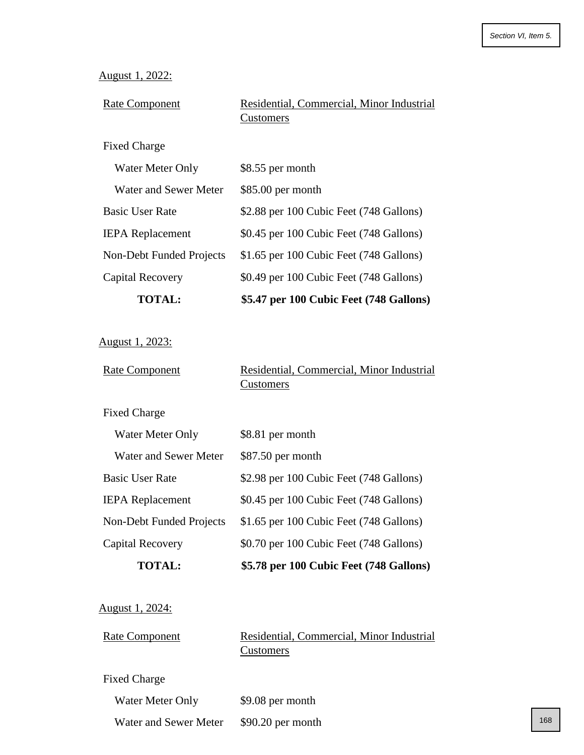|  | August 1, 2022: |
|--|-----------------|
|--|-----------------|

| <b>Rate Component</b> | Residential, Commercial, Minor Industrial |
|-----------------------|-------------------------------------------|
|                       | Customers                                 |

# Fixed Charge

| <b>TOTAL:</b>            | \$5.47 per 100 Cubic Feet (748 Gallons) |
|--------------------------|-----------------------------------------|
| Capital Recovery         | \$0.49 per 100 Cubic Feet (748 Gallons) |
| Non-Debt Funded Projects | \$1.65 per 100 Cubic Feet (748 Gallons) |
| <b>IEPA</b> Replacement  | \$0.45 per 100 Cubic Feet (748 Gallons) |
| <b>Basic User Rate</b>   | \$2.88 per 100 Cubic Feet (748 Gallons) |
| Water and Sewer Meter    | $$85.00$ per month                      |
| Water Meter Only         | \$8.55 per month                        |

August 1, 2023:

| <b>Rate Component</b> | Residential, Commercial, Minor Industrial |
|-----------------------|-------------------------------------------|
|                       | <b>Customers</b>                          |

Fixed Charge

| <b>TOTAL:</b>            | \$5.78 per 100 Cubic Feet (748 Gallons) |
|--------------------------|-----------------------------------------|
| Capital Recovery         | \$0.70 per 100 Cubic Feet (748 Gallons) |
| Non-Debt Funded Projects | \$1.65 per 100 Cubic Feet (748 Gallons) |
| <b>IEPA</b> Replacement  | \$0.45 per 100 Cubic Feet (748 Gallons) |
| <b>Basic User Rate</b>   | \$2.98 per 100 Cubic Feet (748 Gallons) |
| Water and Sewer Meter    | $$87.50$ per month                      |
| Water Meter Only         | \$8.81 per month                        |

August 1, 2024:

| <b>Rate Component</b> | Residential, Commercial, Minor Industrial |
|-----------------------|-------------------------------------------|
|                       | <b>Customers</b>                          |

Fixed Charge

| Water Meter Only | \$9.08 per month |
|------------------|------------------|
|                  |                  |

Water and Sewer Meter \$90.20 per month 168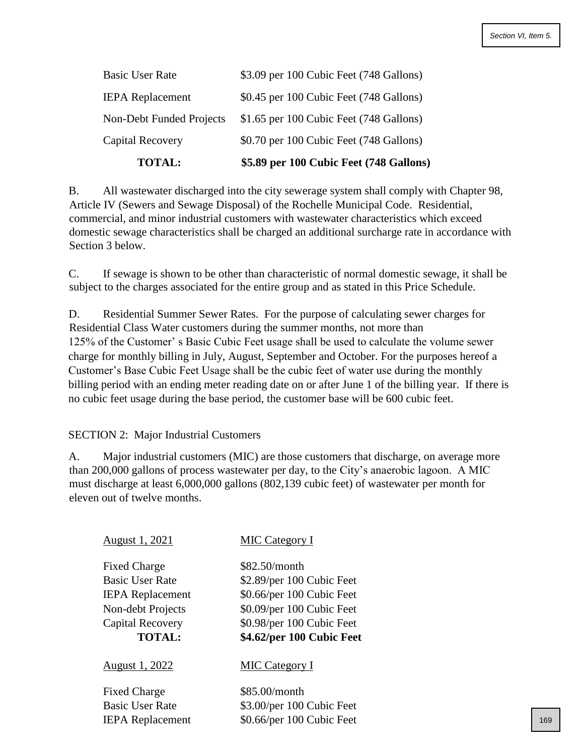| <b>TOTAL:</b>            | \$5.89 per 100 Cubic Feet (748 Gallons) |
|--------------------------|-----------------------------------------|
| Capital Recovery         | \$0.70 per 100 Cubic Feet (748 Gallons) |
| Non-Debt Funded Projects | \$1.65 per 100 Cubic Feet (748 Gallons) |
| <b>IEPA</b> Replacement  | \$0.45 per 100 Cubic Feet (748 Gallons) |
| <b>Basic User Rate</b>   | \$3.09 per 100 Cubic Feet (748 Gallons) |

B. All wastewater discharged into the city sewerage system shall comply with Chapter 98, Article IV (Sewers and Sewage Disposal) of the Rochelle Municipal Code. Residential, commercial, and minor industrial customers with wastewater characteristics which exceed domestic sewage characteristics shall be charged an additional surcharge rate in accordance with Section 3 below.

C. If sewage is shown to be other than characteristic of normal domestic sewage, it shall be subject to the charges associated for the entire group and as stated in this Price Schedule.

D. Residential Summer Sewer Rates. For the purpose of calculating sewer charges for Residential Class Water customers during the summer months, not more than 125% of the Customer' s Basic Cubic Feet usage shall be used to calculate the volume sewer charge for monthly billing in July, August, September and October. For the purposes hereof a Customer's Base Cubic Feet Usage shall be the cubic feet of water use during the monthly billing period with an ending meter reading date on or after June 1 of the billing year. If there is no cubic feet usage during the base period, the customer base will be 600 cubic feet.

## SECTION 2: Major Industrial Customers

A. Major industrial customers (MIC) are those customers that discharge, on average more than 200,000 gallons of process wastewater per day, to the City's anaerobic lagoon. A MIC must discharge at least 6,000,000 gallons (802,139 cubic feet) of wastewater per month for eleven out of twelve months.

| August 1, 2021          | <b>MIC Category I</b>     |     |
|-------------------------|---------------------------|-----|
| <b>Fixed Charge</b>     | \$82.50/month             |     |
| <b>Basic User Rate</b>  | \$2.89/per 100 Cubic Feet |     |
| <b>IEPA</b> Replacement | \$0.66/per 100 Cubic Feet |     |
| Non-debt Projects       | \$0.09/per 100 Cubic Feet |     |
| Capital Recovery        | \$0.98/per 100 Cubic Feet |     |
| <b>TOTAL:</b>           | \$4.62/per 100 Cubic Feet |     |
| August 1, 2022          | <b>MIC Category I</b>     |     |
| <b>Fixed Charge</b>     | \$85.00/month             |     |
| <b>Basic User Rate</b>  | \$3.00/per 100 Cubic Feet |     |
| <b>IEPA</b> Replacement | \$0.66/per 100 Cubic Feet | 169 |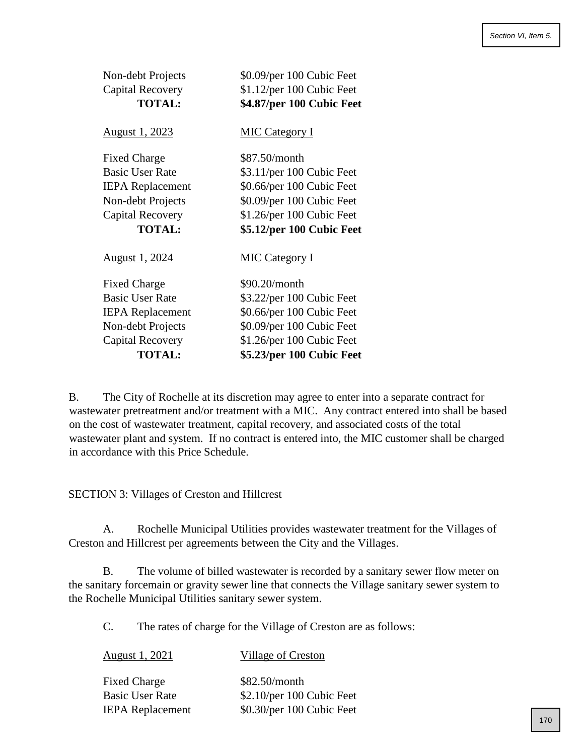| Non-debt Projects<br>Capital Recovery<br><b>TOTAL:</b> | \$0.09/per 100 Cubic Feet<br>\$1.12/per 100 Cubic Feet<br>\$4.87/per 100 Cubic Feet |
|--------------------------------------------------------|-------------------------------------------------------------------------------------|
| <u>August 1, 2023</u>                                  | <b>MIC Category I</b>                                                               |
| <b>Fixed Charge</b>                                    | \$87.50/month                                                                       |
| <b>Basic User Rate</b>                                 | \$3.11/per 100 Cubic Feet                                                           |
| <b>IEPA</b> Replacement                                | \$0.66/per 100 Cubic Feet                                                           |
| Non-debt Projects                                      | \$0.09/per 100 Cubic Feet                                                           |
| Capital Recovery                                       | \$1.26/per 100 Cubic Feet                                                           |
| <b>TOTAL:</b>                                          | \$5.12/per 100 Cubic Feet                                                           |
| <u>August 1, 2024</u>                                  | <b>MIC Category I</b>                                                               |
| <b>Fixed Charge</b>                                    | \$90.20/month                                                                       |
| <b>Basic User Rate</b>                                 | \$3.22/per 100 Cubic Feet                                                           |
| <b>IEPA</b> Replacement                                | \$0.66/per 100 Cubic Feet                                                           |
| Non-debt Projects                                      | \$0.09/per 100 Cubic Feet                                                           |
| <b>Capital Recovery</b>                                | \$1.26/per 100 Cubic Feet                                                           |
| <b>TOTAL:</b>                                          | \$5.23/per 100 Cubic Feet                                                           |

B. The City of Rochelle at its discretion may agree to enter into a separate contract for wastewater pretreatment and/or treatment with a MIC. Any contract entered into shall be based on the cost of wastewater treatment, capital recovery, and associated costs of the total wastewater plant and system. If no contract is entered into, the MIC customer shall be charged in accordance with this Price Schedule.

SECTION 3: Villages of Creston and Hillcrest

A. Rochelle Municipal Utilities provides wastewater treatment for the Villages of Creston and Hillcrest per agreements between the City and the Villages.

B. The volume of billed wastewater is recorded by a sanitary sewer flow meter on the sanitary forcemain or gravity sewer line that connects the Village sanitary sewer system to the Rochelle Municipal Utilities sanitary sewer system.

C. The rates of charge for the Village of Creston are as follows:

| August 1, 2021          | Village of Creston         |  |
|-------------------------|----------------------------|--|
| <b>Fixed Charge</b>     | \$82.50/month              |  |
| <b>Basic User Rate</b>  | $$2.10/per 100$ Cubic Feet |  |
| <b>IEPA</b> Replacement | \$0.30/per 100 Cubic Feet  |  |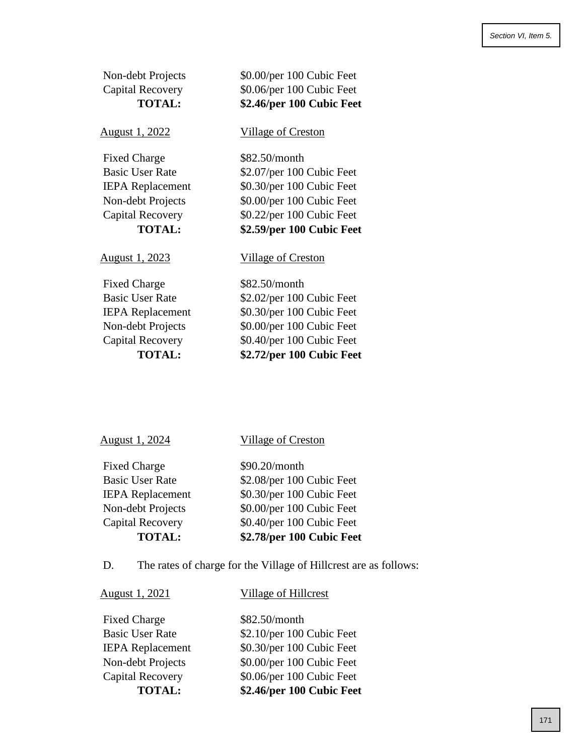| Non-debt Projects<br>Capital Recovery<br><b>TOTAL:</b> | \$0.00/per 100 Cubic Feet<br>\$0.06/per 100 Cubic Feet<br>\$2.46/per 100 Cubic Feet |  |
|--------------------------------------------------------|-------------------------------------------------------------------------------------|--|
| <u>August 1, 2022</u>                                  | <b>Village of Creston</b>                                                           |  |
| <b>Fixed Charge</b>                                    | \$82.50/month                                                                       |  |
| <b>Basic User Rate</b>                                 | \$2.07/per 100 Cubic Feet                                                           |  |
| <b>IEPA</b> Replacement                                | \$0.30/per 100 Cubic Feet                                                           |  |
| Non-debt Projects                                      | \$0.00/per 100 Cubic Feet                                                           |  |
| <b>Capital Recovery</b>                                | \$0.22/per 100 Cubic Feet                                                           |  |
| <b>TOTAL:</b>                                          | \$2.59/per 100 Cubic Feet                                                           |  |
| <u>August 1, 2023</u>                                  | <b>Village of Creston</b>                                                           |  |
| <b>Fixed Charge</b>                                    | \$82.50/month                                                                       |  |
| <b>Basic User Rate</b>                                 | \$2.02/per 100 Cubic Feet                                                           |  |
| <b>IEPA</b> Replacement                                | \$0.30/per 100 Cubic Feet                                                           |  |
| Non-debt Projects                                      | \$0.00/per 100 Cubic Feet                                                           |  |
| <b>Capital Recovery</b>                                | \$0.40/per 100 Cubic Feet                                                           |  |
| <b>TOTAL:</b>                                          | \$2.72/per 100 Cubic Feet                                                           |  |

# August 1, 2024 Village of Creston

| \$90.20/month             |
|---------------------------|
| \$2.08/per 100 Cubic Feet |
| \$0.30/per 100 Cubic Feet |
| \$0.00/per 100 Cubic Feet |
| \$0.40/per 100 Cubic Feet |
| \$2.78/per 100 Cubic Feet |
|                           |

D. The rates of charge for the Village of Hillcrest are as follows:

# August 1, 2021 Village of Hillcrest

| <b>TOTAL:</b>           | \$2.46/per 100 Cubic Feet |
|-------------------------|---------------------------|
| <b>Capital Recovery</b> | \$0.06/per 100 Cubic Feet |
| Non-debt Projects       | \$0.00/per 100 Cubic Feet |
| <b>IEPA</b> Replacement | \$0.30/per 100 Cubic Feet |
| <b>Basic User Rate</b>  | \$2.10/per 100 Cubic Feet |
| <b>Fixed Charge</b>     | \$82.50/month             |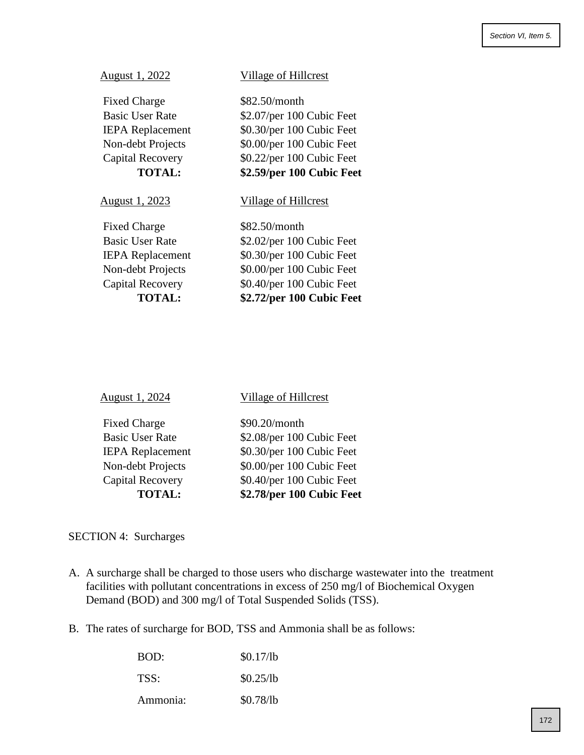| <b>Fixed Charge</b>     | \$82.50/month             |
|-------------------------|---------------------------|
| <b>Basic User Rate</b>  | \$2.07/per 100 Cubic Feet |
| <b>IEPA</b> Replacement | \$0.30/per 100 Cubic Feet |
| Non-debt Projects       | \$0.00/per 100 Cubic Feet |
| Capital Recovery        | \$0.22/per 100 Cubic Feet |
| <b>TOTAL:</b>           | \$2.59/per 100 Cubic Feet |
| August 1, 2023          | Village of Hillcrest      |
| <b>Fixed Charge</b>     | \$82.50/month             |
| <b>Basic User Rate</b>  | \$2.02/per 100 Cubic Feet |
| <b>IEPA</b> Replacement | \$0.30/per 100 Cubic Feet |
| Non-debt Projects       | \$0.00/per 100 Cubic Feet |
| Capital Recovery        | \$0.40/per 100 Cubic Feet |
| <b>TOTAL:</b>           | \$2.72/per 100 Cubic Feet |
|                         |                           |

August 1, 2022 Village of Hillcrest

| August 1, 2024 |  |
|----------------|--|
|                |  |

## Village of Hillcrest

| <b>Fixed Charge</b>     |
|-------------------------|
| <b>Basic User Rate</b>  |
| <b>IEPA Replacement</b> |
| Non-debt Projects       |
| Capital Recovery        |
| <b>TOTAL:</b>           |

 $$90.20/m$ onth \$2.08/per 100 Cubic Feet \$0.30/per 100 Cubic Feet \$0.00/per 100 Cubic Feet \$0.40/per 100 Cubic Feet **TOTAL: \$2.78/per 100 Cubic Feet** 

## SECTION 4: Surcharges

- A. A surcharge shall be charged to those users who discharge wastewater into the treatment facilities with pollutant concentrations in excess of 250 mg/l of Biochemical Oxygen Demand (BOD) and 300 mg/l of Total Suspended Solids (TSS).
- B. The rates of surcharge for BOD, TSS and Ammonia shall be as follows:

| BOD:     | \$0.17/lb |
|----------|-----------|
| TSS:     | \$0.25/lb |
| Ammonia: | \$0.78/lb |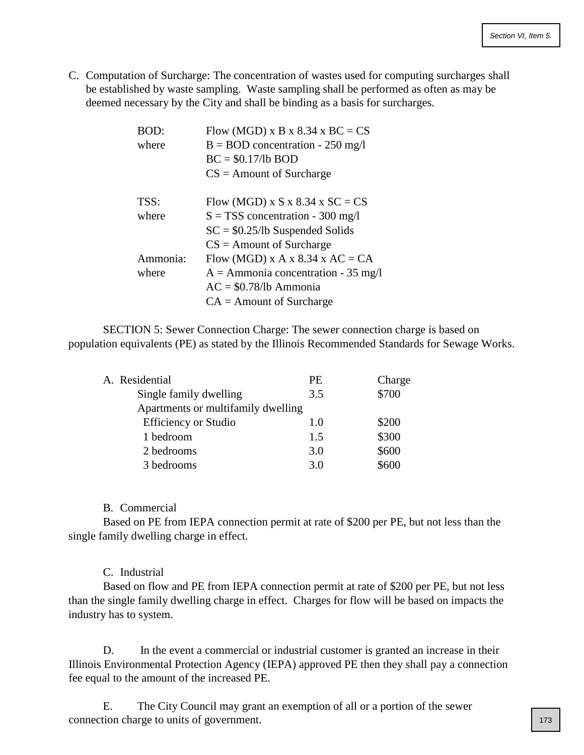C. Computation of Surcharge: The concentration of wastes used for computing surcharges shall be established by waste sampling. Waste sampling shall be performed as often as may be deemed necessary by the City and shall be binding as a basis for surcharges.

| BOD:     | Flow (MGD) x B x 8.34 x BC = $CS$     |
|----------|---------------------------------------|
| where    | $B = BOD$ concentration - 250 mg/l    |
|          | $BC = $0.17/lb BOD$                   |
|          | $CS =$ Amount of Surcharge            |
| TSS:     | Flow (MGD) x S x 8.34 x SC = CS       |
| where    | $S = TSS$ concentration - 300 mg/l    |
|          | $SC = $0.25/lb$ Suspended Solids      |
|          | $CS =$ Amount of Surcharge            |
| Ammonia: | Flow (MGD) x A x 8.34 x AC = CA       |
| where    | $A =$ Ammonia concentration - 35 mg/l |
|          | $AC = $0.78/lb$ Ammonia               |
|          | $CA =$ Amount of Surcharge            |

SECTION 5: Sewer Connection Charge: The sewer connection charge is based on population equivalents (PE) as stated by the Illinois Recommended Standards for Sewage Works.

| A. Residential                     | PE. | Charge |
|------------------------------------|-----|--------|
| Single family dwelling             | 3.5 | \$700  |
| Apartments or multifamily dwelling |     |        |
| <b>Efficiency or Studio</b>        | 1.0 | \$200  |
| 1 bedroom                          | 1.5 | \$300  |
| 2 bedrooms                         | 3.0 | \$600  |
| 3 bedrooms                         | 3.0 | \$600  |

## B. Commercial

Based on PE from IEPA connection permit at rate of \$200 per PE, but not less than the single family dwelling charge in effect.

## C. Industrial

Based on flow and PE from IEPA connection permit at rate of \$200 per PE, but not less than the single family dwelling charge in effect. Charges for flow will be based on impacts the industry has to system.

D. In the event a commercial or industrial customer is granted an increase in their Illinois Environmental Protection Agency (IEPA) approved PE then they shall pay a connection fee equal to the amount of the increased PE.

E. The City Council may grant an exemption of all or a portion of the sewer connection charge to units of government.